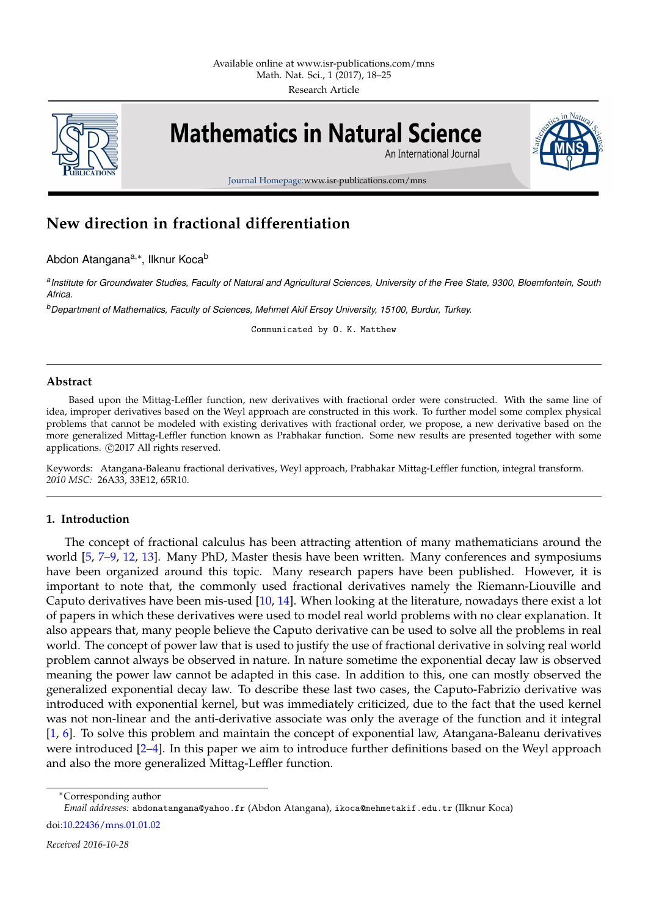

# **Mathematics in Natural Science**

An International Journal



Journal Homepage:www.isr-publications.com/mns

# **New direction in fractional differentiation**

Abdon Atangana<sup>a,∗</sup>, Ilknur Koca<sup>b</sup>

*a Institute for Groundwater Studies, Faculty of Natural and Agricultural Sciences, University of the Free State, 9300, Bloemfontein, South Africa.*

*<sup>b</sup>Department of Mathematics, Faculty of Sciences, Mehmet Akif Ersoy University, 15100, Burdur, Turkey.*

Communicated by O. K. Matthew

### **Abstract**

Based upon the Mittag-Leffler function, new derivatives with fractional order were constructed. With the same line of idea, improper derivatives based on the Weyl approach are constructed in this work. To further model some complex physical problems that cannot be modeled with existing derivatives with fractional order, we propose, a new derivative based on the more generalized Mittag-Leffler function known as Prabhakar function. Some new results are presented together with some applications.  $\odot$ 2017 All rights reserved.

Keywords: Atangana-Baleanu fractional derivatives, Weyl approach, Prabhakar Mittag-Leffler function, integral transform. *2010 MSC:* 26A33, 33E12, 65R10.

## <span id="page-0-0"></span>**1. Introduction**

The concept of fractional calculus has been attracting attention of many mathematicians around the world [\[5,](#page-7-0) [7](#page-7-1)[–9,](#page-7-2) [12,](#page-7-3) [13\]](#page-7-4). Many PhD, Master thesis have been written. Many conferences and symposiums have been organized around this topic. Many research papers have been published. However, it is important to note that, the commonly used fractional derivatives namely the Riemann-Liouville and Caputo derivatives have been mis-used [\[10,](#page-7-5) [14\]](#page-7-6). When looking at the literature, nowadays there exist a lot of papers in which these derivatives were used to model real world problems with no clear explanation. It also appears that, many people believe the Caputo derivative can be used to solve all the problems in real world. The concept of power law that is used to justify the use of fractional derivative in solving real world problem cannot always be observed in nature. In nature sometime the exponential decay law is observed meaning the power law cannot be adapted in this case. In addition to this, one can mostly observed the generalized exponential decay law. To describe these last two cases, the Caputo-Fabrizio derivative was introduced with exponential kernel, but was immediately criticized, due to the fact that the used kernel was not non-linear and the anti-derivative associate was only the average of the function and it integral [\[1,](#page-7-7) [6\]](#page-7-8). To solve this problem and maintain the concept of exponential law, Atangana-Baleanu derivatives were introduced [\[2–](#page-7-9)[4\]](#page-7-10). In this paper we aim to introduce further definitions based on the Weyl approach and also the more generalized Mittag-Leffler function.

<sup>∗</sup>Corresponding author

*Email addresses:* abdonatangana@yahoo.fr (Abdon Atangana), ikoca@mehmetakif.edu.tr (Ilknur Koca)

doi[:10.22436/mns.01.01.02](http://dx.doi.org/10.22436/mns.01.01.02)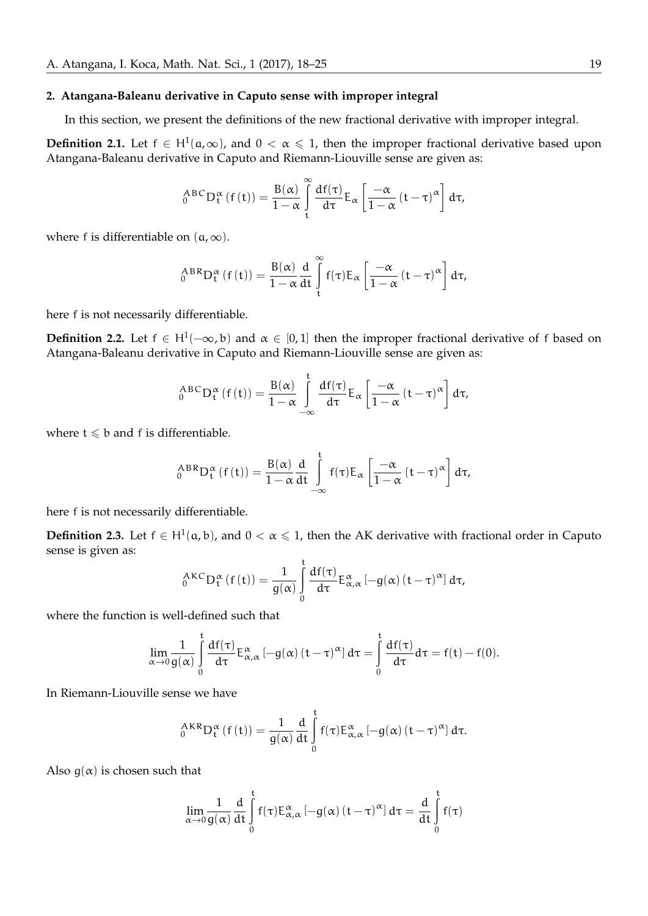#### **2. Atangana-Baleanu derivative in Caputo sense with improper integral**

In this section, we present the definitions of the new fractional derivative with improper integral.

**Definition 2.1.** Let  $f \in H^1(a,\infty)$ , and  $0 < \alpha \le 1$ , then the improper fractional derivative based upon Atangana-Baleanu derivative in Caputo and Riemann-Liouville sense are given as:

$$
{}_{0}^{ABC}D_{t}^{\alpha}(f(t))=\frac{B(\alpha)}{1-\alpha}\int_{t}^{\infty}\frac{df(\tau)}{d\tau}E_{\alpha}\left[\frac{-\alpha}{1-\alpha}(t-\tau)^{\alpha}\right]d\tau,
$$

where f is differentiable on  $(a, \infty)$ .

$$
{}_{0}^{ABR}D_{t}^{\alpha} (f(t)) = \frac{B(\alpha)}{1-\alpha} \frac{d}{dt} \int_{t}^{\infty} f(\tau) E_{\alpha} \left[ \frac{-\alpha}{1-\alpha} (t-\tau)^{\alpha} \right] d\tau,
$$

here f is not necessarily differentiable.

**Definition 2.2.** Let  $f \in H^1(-\infty, b)$  and  $\alpha \in [0, 1]$  then the improper fractional derivative of f based on Atangana-Baleanu derivative in Caputo and Riemann-Liouville sense are given as:

$$
{}_{0}^{ABC}D_{t}^{\alpha}(f(t))=\frac{B(\alpha)}{1-\alpha}\int\limits_{-\infty}^{t}\frac{df(\tau)}{d\tau}E_{\alpha}\left[\frac{-\alpha}{1-\alpha}(t-\tau)^{\alpha}\right]d\tau,
$$

where  $t \leq b$  and f is differentiable.

$$
{}_{0}^{ABR}D_{t}^{\alpha} (f(t)) = \frac{B(\alpha)}{1-\alpha} \frac{d}{dt} \int_{-\infty}^{t} f(\tau) E_{\alpha} \left[ \frac{-\alpha}{1-\alpha} (t-\tau)^{\alpha} \right] d\tau,
$$

here f is not necessarily differentiable.

**Definition 2.3.** Let  $f \in H^1(a, b)$ , and  $0 < \alpha \leq 1$ , then the AK derivative with fractional order in Caputo sense is given as:

$$
{}_{0}^{AKC}D_{t}^{\alpha}\left(f\left(t\right)\right) =\frac{1}{g(\alpha)}\int\limits_{0}^{t}\frac{df(\tau)}{d\tau}E_{\alpha,\alpha}^{\alpha}\left[-g(\alpha)\left(t-\tau\right)^{\alpha}\right]d\tau,
$$

where the function is well-defined such that

$$
\lim_{\alpha\to 0}\frac{1}{g(\alpha)}\int\limits_{0}^{t}\frac{df(\tau)}{d\tau}E_{\alpha,\alpha}^{\alpha}\left[-g(\alpha)\left(t-\tau\right)^{\alpha}\right]d\tau=\int\limits_{0}^{t}\frac{df(\tau)}{d\tau}d\tau=f(t)-f(0).
$$

In Riemann-Liouville sense we have

$$
_{0}^{AKR}D_{t}^{\alpha }\left( f\left( t\right) \right) =\frac{1}{g(\alpha )}\frac{d}{dt}\int\limits_{0}^{t}f(\tau )E_{\alpha ,\alpha }^{\alpha }\left[ -g(\alpha )\left( t-\tau \right) ^{\alpha }\right] d\tau .
$$

Also  $g(\alpha)$  is chosen such that

$$
\lim_{\alpha\to 0}\frac{1}{g(\alpha)}\frac{d}{dt}\int\limits_{0}^{t}f(\tau)E_{\alpha,\alpha}^{\alpha}\left[-g(\alpha)\left(t-\tau\right)^{\alpha}\right]d\tau=\frac{d}{dt}\int\limits_{0}^{t}f(\tau)
$$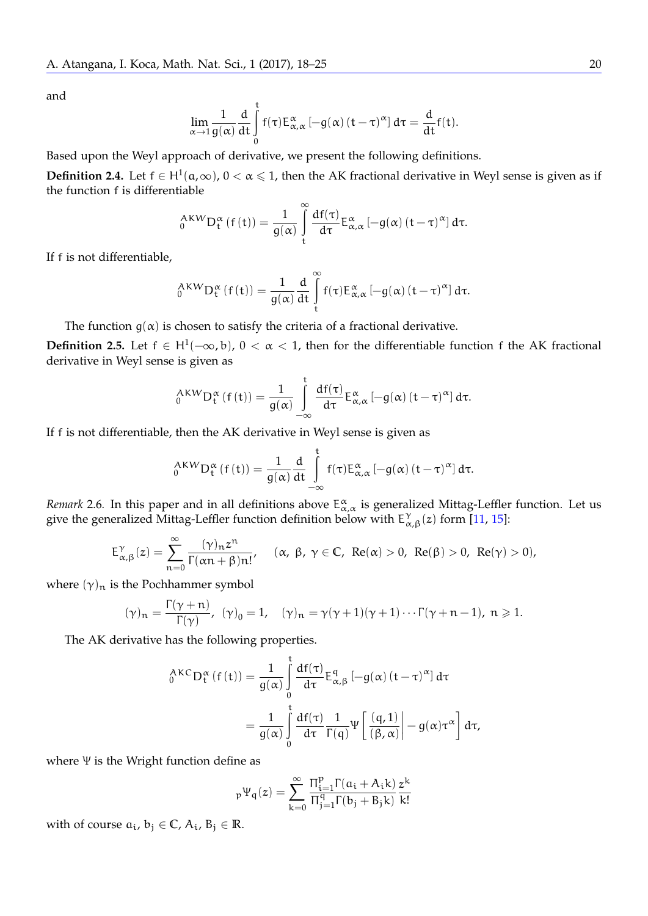and

$$
\lim_{\alpha\to 1}\frac{1}{g(\alpha)}\frac{d}{dt}\int\limits_0^t f(\tau) E_{\alpha,\alpha}^\alpha\left[-g(\alpha)\left(t-\tau\right)^\alpha\right]d\tau=\frac{d}{dt}f(t).
$$

Based upon the Weyl approach of derivative, we present the following definitions.

**Definition 2.4.** Let  $f \in H^1(a, \infty)$ ,  $0 < \alpha \le 1$ , then the AK fractional derivative in Weyl sense is given as if the function f is differentiable

$$
{}_{0}^{A K W}D_{t}^{\alpha} (f(t)) = \frac{1}{g(\alpha)} \int_{t}^{\infty} \frac{df(\tau)}{d\tau} E_{\alpha,\alpha}^{\alpha} [-g(\alpha) (t-\tau)^{\alpha}] d\tau.
$$

If f is not differentiable,

$$
_{0}^{AKW}D_{t}^{\alpha }\left( f\left( t\right) \right) =\frac{1}{g(\alpha )}\frac{d}{dt}\int\limits_{t}^{\infty }f(\tau )E_{\alpha ,\alpha }^{\alpha }\left[ -g(\alpha )\left( t-\tau \right) ^{\alpha }\right] d\tau .
$$

The function  $g(\alpha)$  is chosen to satisfy the criteria of a fractional derivative.

**Definition 2.5.** Let  $f \in H^1(-\infty, b)$ ,  $0 < \alpha < 1$ , then for the differentiable function  $f$  the AK fractional derivative in *M*<sub>in</sub>decreasing times as derivative in Weyl sense is given as

$$
{}_{0}^{AKW}D_{t}^{\alpha}(f(t))=\frac{1}{g(\alpha)}\int\limits_{-\infty}^{t} \frac{df(\tau)}{d\tau}E_{\alpha,\alpha}^{\alpha}\left[-g(\alpha)\left(t-\tau\right)^{\alpha}\right]d\tau.
$$

If f is not differentiable, then the AK derivative in Weyl sense is given as

$$
{}_{0}^{AKW}D_{t}^{\alpha}\left(f\left(t\right)\right) =\frac{1}{g(\alpha)}\frac{d}{dt}\int\limits_{-\infty}^{t}f(\tau)E_{\alpha,\alpha}^{\alpha}\left[-g(\alpha)\left(t-\tau\right)^{\alpha}\right]d\tau.
$$

<span id="page-2-0"></span>*Remark* 2.6. In this paper and in all definitions above  $E_{\alpha,\alpha}^{\alpha}$  is generalized Mittag-Leffler function. Let us give the generalized Mittag-Leffler function definition below with  $E^{\gamma}_{\alpha}$  $\int_{\alpha,\beta}^{\gamma}(z)$  form [\[11,](#page-7-11) [15\]](#page-7-12):

$$
E_{\alpha,\beta}^{\gamma}(z)=\sum_{n=0}^{\infty}\frac{(\gamma)_nz^n}{\Gamma(\alpha n+\beta)n!},\quad (\alpha,\ \beta,\ \gamma\in\mathbb{C},\ \operatorname{Re}(\alpha)>0,\ \operatorname{Re}(\beta)>0,\ \operatorname{Re}(\gamma)>0),
$$

where  $(\gamma)_n$  is the Pochhammer symbol

$$
(\gamma)_n = \frac{\Gamma(\gamma + n)}{\Gamma(\gamma)}, \ \ (\gamma)_0 = 1, \quad (\gamma)_n = \gamma(\gamma + 1)(\gamma + 1) \cdots \Gamma(\gamma + n - 1), \ n \geqslant 1.
$$

The AK derivative has the following properties.

$$
{}_{0}^{AKC}D_{t}^{\alpha} (f(t)) = \frac{1}{g(\alpha)} \int_{0}^{t} \frac{df(\tau)}{d\tau} E_{\alpha,\beta}^{q} [-g(\alpha) (t-\tau)^{\alpha}] d\tau
$$
  

$$
= \frac{1}{g(\alpha)} \int_{0}^{t} \frac{df(\tau)}{d\tau} \frac{1}{\Gamma(q)} \Psi \left[ \frac{(q,1)}{(\beta,\alpha)} \right] - g(\alpha) \tau^{\alpha} d\tau,
$$

where Ψ is the Wright function define as

$$
{}_{p}\Psi_{q}(z)=\sum_{k=0}^{\infty}\frac{\Pi_{i=1}^{p}\Gamma(\mathfrak{a}_{i}+A_{i}k)}{\Pi_{j=1}^{q}\Gamma(b_{j}+B_{j}k)}\frac{z^{k}}{k!}
$$

with of course  $a_i$ ,  $b_j \in \mathbb{C}$ ,  $A_i$ ,  $B_j \in \mathbb{R}$ .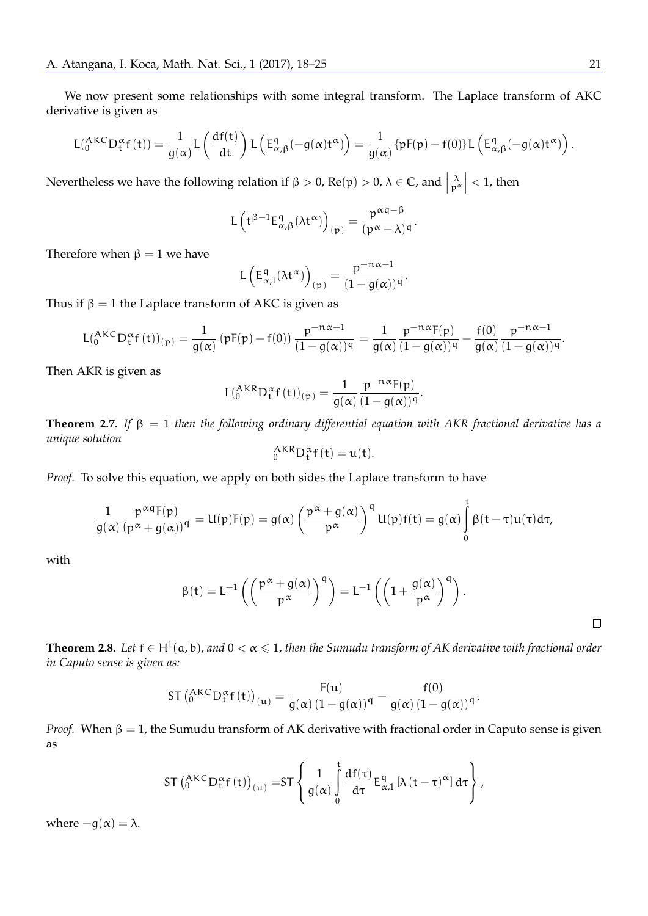We now present some relationships with some integral transform. The Laplace transform of AKC derivative is given as

$$
L(^{AKC}_{0}D_{t}^{\alpha}f(t))=\frac{1}{g(\alpha)}L\left(\frac{df(t)}{dt}\right)L\left(E_{\alpha,\beta}^{q}(-g(\alpha)t^{\alpha})\right)=\frac{1}{g(\alpha)}\left\{pF(p)-f(0)\right\}L\left(E_{\alpha,\beta}^{q}(-g(\alpha)t^{\alpha})\right).
$$

Nevertheless we have the following relation if  $\beta > 0$ , Re(p)  $> 0$ ,  $\lambda \in \mathbb{C}$ , and  $\Big|$  $\frac{\lambda}{p^{\alpha}} \Big| < 1$ , then

$$
L\left(t^{\beta-1}E_{\alpha,\beta}^{q}(\lambda t^{\alpha})\right)_{(p)}=\frac{p^{\alpha q-\beta}}{(p^{\alpha}-\lambda)^{q}}.
$$

Therefore when  $\beta = 1$  we have

$$
L\left(E_{\alpha,1}^q(\lambda t^{\alpha})\right)_{(p)} = \frac{p^{-n\alpha-1}}{(1-g(\alpha))^q}.
$$

Thus if  $\beta = 1$  the Laplace transform of AKC is given as

$$
L(_{0}^{AKC}D_t^{\alpha}f(t))_{(p)}=\frac{1}{g(\alpha)}\left(pF(p)-f(0)\right)\frac{p^{-n\alpha-1}}{(1-g(\alpha))^q}=\frac{1}{g(\alpha)}\frac{p^{-n\alpha}F(p)}{(1-g(\alpha))^q}-\frac{f(0)}{g(\alpha)}\frac{p^{-n\alpha-1}}{(1-g(\alpha))^q}.
$$

Then AKR is given as

$$
L(^{AKR}_{0}D_{t}^{\alpha}f(t))_{(p)}=\frac{1}{g(\alpha)}\frac{p^{-n\alpha}F(p)}{(1-g(\alpha))^{q}}.
$$

**Theorem 2.7.** *If* β = 1 *then the following ordinary differential equation with AKR fractional derivative has a unique solution*

$$
{}_0^{AKR}D_t^{\alpha}f(t)=u(t).
$$

*Proof.* To solve this equation, we apply on both sides the Laplace transform to have

$$
\frac{1}{g(\alpha)}\frac{p^{\alpha q}F(p)}{(p^{\alpha}+g(\alpha))^q}=U(p)F(p)=g(\alpha)\left(\frac{p^{\alpha}+g(\alpha)}{p^{\alpha}}\right)^qU(p)f(t)=g(\alpha)\int\limits_0^t\beta(t-\tau)u(\tau)d\tau,
$$

with

$$
\beta(t) = L^{-1}\left(\left(\frac{p^{\alpha} + g(\alpha)}{p^{\alpha}}\right)^q\right) = L^{-1}\left(\left(1 + \frac{g(\alpha)}{p^{\alpha}}\right)^q\right).
$$

 $\Box$ 

<span id="page-3-0"></span>**Theorem 2.8.** Let  $f \in H^1(a,b)$ , and  $0 < \alpha \leq 1$ , then the Sumudu transform of AK derivative with fractional order *in Caputo sense is given as:*

$$
ST\left(\substack{AKC\\0}D_t^{\alpha}f(t)\right)_{(u)} = \frac{F(u)}{g(\alpha)\left(1-g(\alpha)\right)^q} - \frac{f(0)}{g(\alpha)\left(1-g(\alpha)\right)^q}.
$$

*Proof.* When  $\beta = 1$ , the Sumudu transform of AK derivative with fractional order in Caputo sense is given as

$$
ST\left(^{AKC}_{0}D_{t}^{\alpha}f(t)\right)_{(u)}=ST\left\{\frac{1}{g(\alpha)}\int\limits_{0}^{t}\frac{df(\tau)}{d\tau}E_{\alpha,1}^{q}\left[\lambda\left(t-\tau\right)^{\alpha}\right]d\tau\right\},
$$

where  $-g(\alpha) = \lambda$ .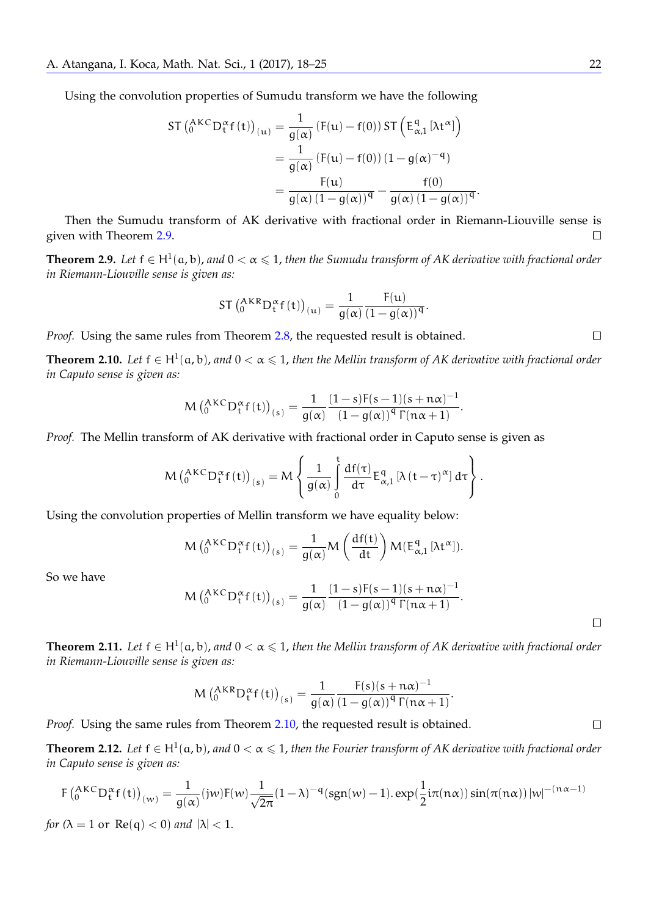Using the convolution properties of Sumudu transform we have the following

$$
ST\left(\substack{A K C}{}_{\mathbf{D}_{\mathbf{t}}^{\alpha}} f(t)\right)_{(\mathbf{u})} = \frac{1}{g(\alpha)} \left( F(\mathbf{u}) - f(0) \right) ST\left( E_{\alpha,1}^{q} \left[ \lambda \mathbf{t}^{\alpha} \right] \right)
$$

$$
= \frac{1}{g(\alpha)} \left( F(\mathbf{u}) - f(0) \right) \left( 1 - g(\alpha)^{-q} \right)
$$

$$
= \frac{F(\mathbf{u})}{g(\alpha) \left( 1 - g(\alpha) \right)^{q}} - \frac{f(0)}{g(\alpha) \left( 1 - g(\alpha) \right)^{q}}.
$$

Then the Sumudu transform of AK derivative with fractional order in Riemann-Liouville sense is given with Theorem [2.9.](#page-4-0)  $\Box$ 

<span id="page-4-0"></span>**Theorem 2.9.** Let  $f \in H^1(a,b)$ , and  $0 < \alpha \leq 1$ , then the Sumudu transform of AK derivative with fractional order *in Riemann-Liouville sense is given as:*

$$
ST\left(\substack{AKR\\0}D_t^{\alpha}f(t)\right)_{(u)}=\frac{1}{g(\alpha)}\frac{F(u)}{(1-g(\alpha))^q}.
$$

*Proof.* Using the same rules from Theorem [2.8,](#page-3-0) the requested result is obtained.

<span id="page-4-1"></span>**Theorem 2.10.** Let  $f \in H^1(a,b)$ , and  $0 < \alpha \leq 1$ , then the Mellin transform of AK derivative with fractional order *in Caputo sense is given as:*

$$
M\left(^{AKC}_{0}D_{t}^{\alpha}f(t)\right)_{(s)}=\frac{1}{g(\alpha)}\frac{(1-s)F(s-1)(s+n\alpha)^{-1}}{(1-g(\alpha))^q\Gamma(n\alpha+1)}.
$$

*Proof.* The Mellin transform of AK derivative with fractional order in Caputo sense is given as

$$
M\left(^{AKC}_{0}D_{t}^{\alpha}f(t)\right)_{(s)}=M\left\{\frac{1}{g(\alpha)}\int\limits_{0}^{t}\frac{df(\tau)}{d\tau}E_{\alpha,1}^{q}\left[\lambda\left(t-\tau\right)^{\alpha}\right]d\tau\right\}.
$$

Using the convolution properties of Mellin transform we have equality below:

$$
M\left(^{AKC}_{0}D_{t}^{\alpha}f(t)\right)_{(s)}=\frac{1}{g(\alpha)}M\left(\frac{df(t)}{dt}\right)M(E_{\alpha,1}^{q}[\lambda t^{\alpha}]).
$$

So we have

$$
M\left(^{AKC}_{0}D_{t}^{\alpha}f(t)\right)_{(s)}=\frac{1}{g(\alpha)}\frac{(1-s)F(s-1)(s+n\alpha)^{-1}}{(1-g(\alpha))^q\Gamma(n\alpha+1)}.
$$

**Theorem 2.11.** Let  $f \in H^1(a,b)$ , and  $0 < \alpha \leq 1$ , then the Mellin transform of AK derivative with fractional order *in Riemann-Liouville sense is given as:*

$$
M\left(^{AKR}_{0}D_{t}^{\alpha}f(t)\right)_{(s)} = \frac{1}{g(\alpha)} \frac{F(s)(s+n\alpha)^{-1}}{(1-g(\alpha))^q \Gamma(n\alpha+1)}.
$$

*Proof.* Using the same rules from Theorem [2.10,](#page-4-1) the requested result is obtained.

<span id="page-4-2"></span>**Theorem 2.12.** Let  $f \in H^1(a,b)$ , and  $0 < \alpha \leq 1$ , then the Fourier transform of AK derivative with fractional order *in Caputo sense is given as:*

$$
F\left(^{AKC}_{0}D_{t}^{\alpha}f(t)\right)_{(w)} = \frac{1}{g(\alpha)}(jw)F(w)\frac{1}{\sqrt{2\pi}}(1-\lambda)^{-q}(sgn(w)-1).exp(\frac{1}{2}i\pi(n\alpha))sin(\pi(n\alpha))|w|^{-(n\alpha-1)}
$$

*for*  $(\lambda = 1 \text{ or } Re(q) < 0)$  *and*  $|\lambda| < 1$ .

 $\Box$ 

 $\Box$ 

 $\Box$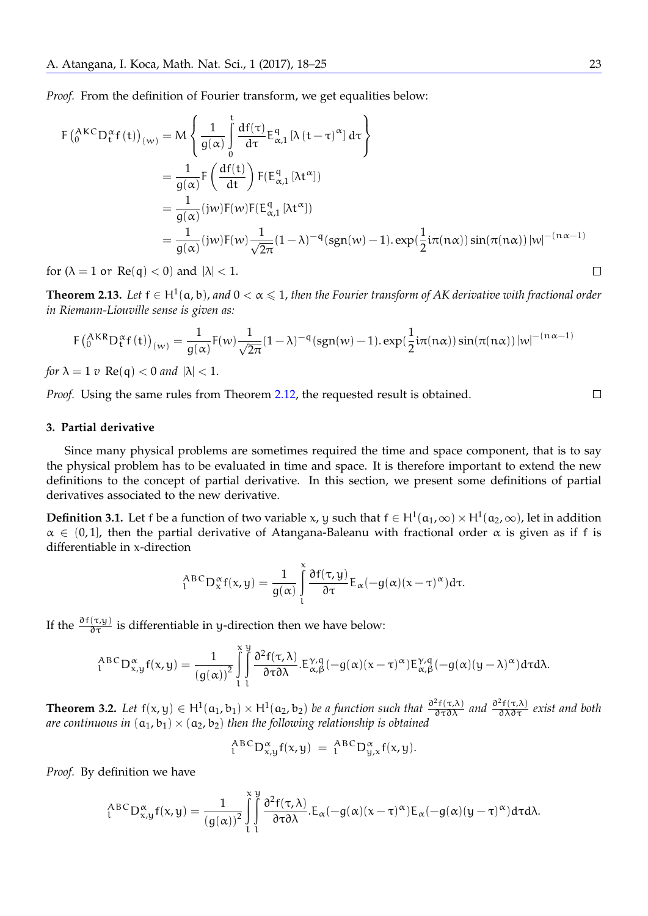*Proof.* From the definition of Fourier transform, we get equalities below:

$$
F\left(\substack{A}{K}^{C}D_{t}^{\alpha}f(t)\right)_{(w)} = M\left\{\frac{1}{g(\alpha)}\int_{0}^{t} \frac{df(\tau)}{d\tau}E_{\alpha,1}^{q} \left[\lambda(t-\tau)^{\alpha}\right]d\tau\right\}
$$
  
\n
$$
= \frac{1}{g(\alpha)}F\left(\frac{df(t)}{dt}\right)F(E_{\alpha,1}^{q} \left[\lambda t^{\alpha}\right])
$$
  
\n
$$
= \frac{1}{g(\alpha)}(jw)F(w)F(E_{\alpha,1}^{q} \left[\lambda t^{\alpha}\right])
$$
  
\n
$$
= \frac{1}{g(\alpha)}(jw)F(w)\frac{1}{\sqrt{2\pi}}(1-\lambda)^{-q}(sgn(w)-1).exp(\frac{1}{2}i\pi(n\alpha))sin(\pi(n\alpha))|w|^{-(n\alpha-1)}
$$

for  $(\lambda = 1$  or  $\text{Re}(q) < 0$  and  $|\lambda| < 1$ .

**Theorem 2.13.** Let  $f \in H^1(a,b)$ , and  $0 < \alpha \leq 1$ , then the Fourier transform of AK derivative with fractional order *in Riemann-Liouville sense is given as:*

$$
F\left(^{AKR}_{0}D_{t}^{\alpha}f(t)\right)_{(w)} = \frac{1}{g(\alpha)}F(w)\frac{1}{\sqrt{2\pi}}(1-\lambda)^{-q}(sgn(w)-1).\exp(\frac{1}{2}i\pi(n\alpha))\sin(\pi(n\alpha))|w|^{-(n\alpha-1)}
$$

*for*  $\lambda = 1$  *v*  $\text{Re}(q) < 0$  *and*  $|\lambda| < 1$ .

*Proof.* Using the same rules from Theorem [2.12,](#page-4-2) the requested result is obtained.

#### **3. Partial derivative**

Since many physical problems are sometimes required the time and space component, that is to say the physical problem has to be evaluated in time and space. It is therefore important to extend the new definitions to the concept of partial derivative. In this section, we present some definitions of partial derivatives associated to the new derivative.

**Definition 3.1.** Let f be a function of two variable x, y such that  $f \in H^1(a_1, \infty) \times H^1(a_2, \infty)$ , let in addition  $\alpha \in (0,1]$ , then the partial derivative of Atangana-Baleanu with fractional order  $\alpha$  is given as if f is differentiable in x-direction

$$
{}_{1}^{ABC}D_{x}^{\alpha}f(x,y)=\frac{1}{g(\alpha)}\int_{1}^{\alpha}\frac{\partial f(\tau,y)}{\partial\tau}E_{\alpha}(-g(\alpha)(x-\tau)^{\alpha})d\tau.
$$

If the  $\frac{\partial f(\tau,y)}{\partial \tau}$  is differentiable in y-direction then we have below:

$$
_{t}^{ABC}D_{x,y}^{\alpha}f(x,y)=\frac{1}{\left(g(\alpha)\right)^{2}}\int\limits_{l}^{\chi}\int\limits_{l}^{y} \frac{\partial^{2}f(\tau,\lambda)}{\partial\tau\partial\lambda}.\text{E}_{\alpha,\beta}^{\gamma,q}(-g(\alpha)(x-\tau)^{\alpha})\text{E}_{\alpha,\beta}^{\gamma,q}(-g(\alpha)(y-\lambda)^{\alpha})d\tau d\lambda.
$$

**Theorem 3.2.** Let  $f(x,y) \in H^1(a_1,b_1) \times H^1(a_2,b_2)$  be a function such that  $\frac{\partial^2 f(\tau,\lambda)}{\partial \tau \partial \lambda}$  and  $\frac{\partial^2 f(\tau,\lambda)}{\partial \lambda \partial \tau}$  exist and both *are continuous in*  $(a_1, b_1) \times (a_2, b_2)$  *then the following relationship is obtained* 

$$
{}_{1}^{ABC}D_{x,y}^{\alpha}f(x,y) = {}_{1}^{ABC}D_{y,x}^{\alpha}f(x,y).
$$

*Proof.* By definition we have

$$
{}^{ABC}_{\iota}D^{\alpha}_{x,y}f(x,y)=\frac{1}{\left(g(\alpha)\right)^2}\int\limits^{\chi}_{\iota}\int\limits^y_0\frac{\partial^2f(\tau,\lambda)}{\partial\tau\partial\lambda}.E_{\alpha}(-g(\alpha)(x-\tau)^{\alpha})E_{\alpha}(-g(\alpha)(y-\tau)^{\alpha})d\tau d\lambda.
$$

 $\Box$ 

 $\Box$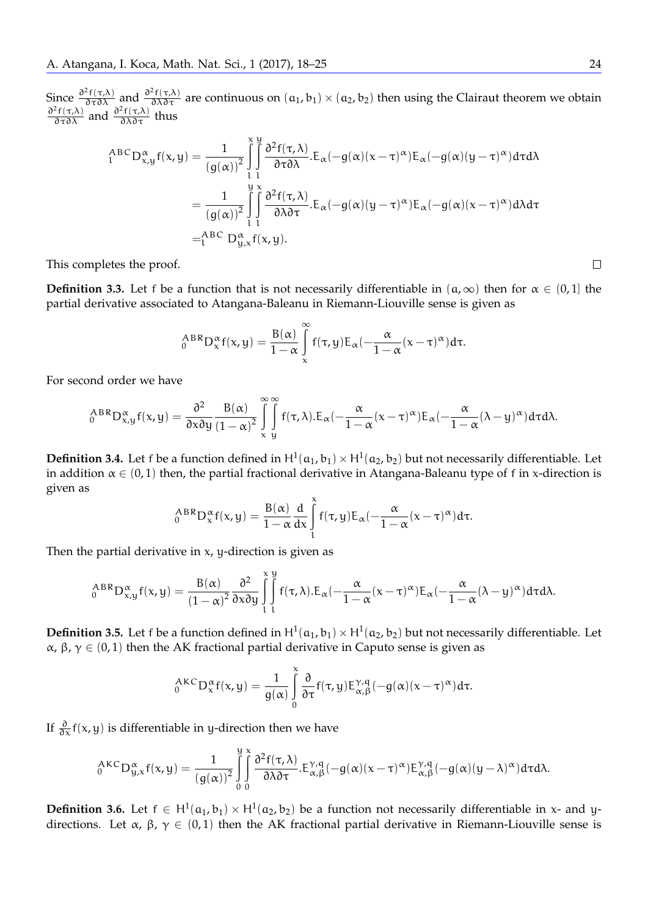Since  $\frac{\partial^2 f(\tau,\lambda)}{\partial \tau \partial \lambda}$  and  $\frac{\partial^2 f(\tau,\lambda)}{\partial \lambda \partial \tau}$  are continuous on  $(a_1,b_1) \times (a_2,b_2)$  then using the Clairaut theorem we obtain  $\frac{\partial^2 f(\tau,\lambda)}{\partial \tau \partial \lambda}$  and  $\frac{\partial^2 f(\tau,\lambda)}{\partial \lambda \partial \tau}$  thus

$$
A^{BC}_{\alpha}D^{\alpha}_{x,y}f(x,y) = \frac{1}{(g(\alpha))^2} \int_{\alpha}^{\alpha} \int_{\alpha}^{\beta} \frac{\partial^2 f(\tau,\lambda)}{\partial \tau \partial \lambda} E_{\alpha}(-g(\alpha)(x-\tau)^{\alpha}) E_{\alpha}(-g(\alpha)(y-\tau)^{\alpha}) d\tau d\lambda
$$
  

$$
= \frac{1}{(g(\alpha))^2} \int_{\alpha}^{\beta} \int_{\alpha}^{\beta} \frac{\partial^2 f(\tau,\lambda)}{\partial \lambda \partial \tau} E_{\alpha}(-g(\alpha)(y-\tau)^{\alpha}) E_{\alpha}(-g(\alpha)(x-\tau)^{\alpha}) d\lambda d\tau
$$
  

$$
= \int_{\alpha}^{ABC} D^{\alpha}_{y,x}f(x,y).
$$

This completes the proof.

**Definition 3.3.** Let f be a function that is not necessarily differentiable in  $(a, \infty)$  then for  $\alpha \in (0, 1]$  the partial derivative associated to Atangana-Baleanu in Riemann-Liouville sense is given as

$$
{}_{0}^{ABR}D_{x}^{\alpha}f(x,y) = \frac{B(\alpha)}{1-\alpha}\int_{x}^{\infty}f(\tau,y)E_{\alpha}(-\frac{\alpha}{1-\alpha}(x-\tau)^{\alpha})d\tau.
$$

For second order we have

$$
{}_{0}^{ABR}D_{x,y}^{\alpha}f(x,y) = \frac{\partial^{2}}{\partial x \partial y} \frac{B(\alpha)}{(1-\alpha)^{2}} \int_{x-y}^{\infty} \int_{y}^{\infty} f(\tau,\lambda).E_{\alpha}(-\frac{\alpha}{1-\alpha}(x-\tau)^{\alpha})E_{\alpha}(-\frac{\alpha}{1-\alpha}(\lambda-y)^{\alpha})d\tau d\lambda.
$$

**Definition 3.4.** Let f be a function defined in  $H^1(a_1, b_1) \times H^1(a_2, b_2)$  but not necessarily differentiable. Let in addition  $\alpha \in (0,1)$  then, the partial fractional derivative in Atangana-Baleanu type of f in x-direction is given as

$$
_{0}^{ABR}D_{x}^{\alpha}f(x,y)=\frac{B(\alpha)}{1-\alpha}\frac{d}{dx}\int\limits_{l}^{\alpha}f(\tau,y)E_{\alpha}(-\frac{\alpha}{1-\alpha}(x-\tau)^{\alpha})d\tau.
$$

Then the partial derivative in  $x$ ,  $y$ -direction is given as

$$
_{0}^{A B R}D_{x,y}^{\alpha}f(x,y)=\frac{B(\alpha)}{(1-\alpha)^{2}}\frac{\partial^{2}}{\partial x\partial y}\int\limits_{l}^{x}\int\limits_{l}^{y}f(\tau,\lambda).E_{\alpha}(-\frac{\alpha}{1-\alpha}(x-\tau)^{\alpha})E_{\alpha}(-\frac{\alpha}{1-\alpha}(\lambda-y)^{\alpha})d\tau d\lambda.
$$

**Definition 3.5.** Let f be a function defined in  $H^1(a_1, b_1) \times H^1(a_2, b_2)$  but not necessarily differentiable. Let α,  $β$ ,  $γ ∈ (0, 1)$  then the AK fractional partial derivative in Caputo sense is given as

$$
{}_{0}^{AKC}D_{x}^{\alpha}f(x,y) = \frac{1}{g(\alpha)}\int_{0}^{\alpha}\frac{\partial}{\partial \tau}f(\tau,y)E_{\alpha,\beta}^{\gamma,q}(-g(\alpha)(x-\tau)^{\alpha})d\tau.
$$

If  $\frac{\partial}{\partial x}f(x,y)$  is differentiable in y-direction then we have

$$
_{0}^{AKC}D_{y,x}^{\alpha}f(x,y)=\frac{1}{\left(g(\alpha)\right)^{2}}\int\limits_{0}^{y}\int\limits_{0}^{x}\frac{\partial^{2}f(\tau,\lambda)}{\partial\lambda\partial\tau}.\text{E}_{\alpha,\beta}^{\gamma,q}(-g(\alpha)(x-\tau)^{\alpha})\text{E}_{\alpha,\beta}^{\gamma,q}(-g(\alpha)(y-\lambda)^{\alpha})d\tau d\lambda.
$$

**Definition 3.6.** Let  $f \in H^1(a_1, b_1) \times H^1(a_2, b_2)$  be a function not necessarily differentiable in x- and ydirections. Let  $\alpha$ ,  $\beta$ ,  $\gamma \in (0,1)$  then the AK fractional partial derivative in Riemann-Liouville sense is

 $\Box$